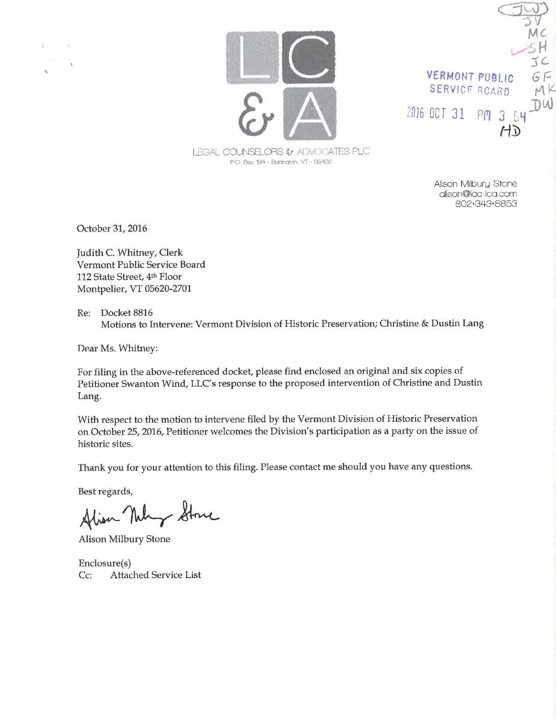MC<br>SH<br>VERMONT PUBLIC GF<br>SERVICE ROARD M

VERMONT PUBLIC GF SERVICE BOARD MK 2016 OCT 31 PM 3 54  $H$ 

LEGAL COUNSELORS & ADVOCATES PLC  $P.O.$  Box  $194 +$  Burlington,  $\sqrt{T} + 05402$ 

> Alison Milbury Stone clison@lcc-ico,corn 802-343-8853

October 31, 2016

 $\bar{p}$ 

Judith C. Whitney, Clerk Vermont Public Service Board 112 State Street, 4<sup>th</sup> Floor Montpelier, VT 05620-2701

Re: Docket 8816 Motions to Intervene: Vermont Division of Historic Preservation; Christine & Dustin Lang

Dear Ms. Whitney:

For filing in the above-referenced docket, please find enclosed an original and six copies of Petitioner Swanton Wind, LLC's response to the proposed intervention of Christine and Dustin Lang.

With respect to the motion to intervene filed by the Vermont Division of Historic Preservation on October 25, 2016, Petitioner welcomes the Division's participation as a party on the issue of historic sites.

Thank you for your attention to this filing. Please contact me should you have any questions.

Best regards,

Alisa Nulig Stone

Alison Milbury Stone

Enclosure(s) Cc: Attached Service List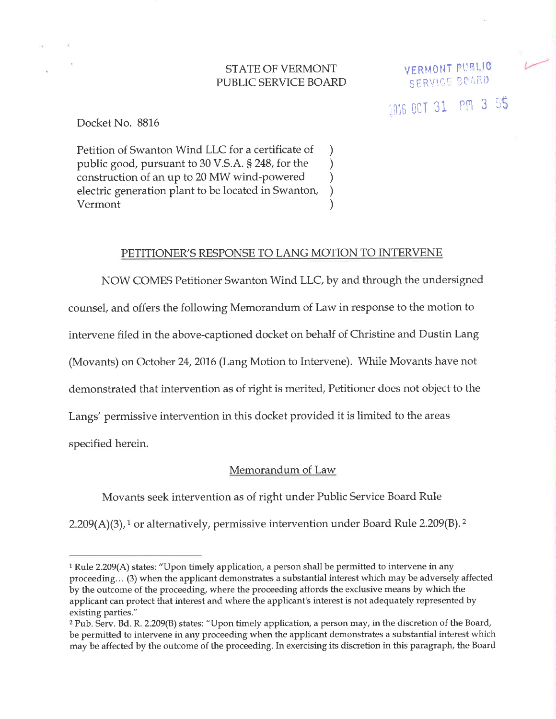## STATE OF VERMONT PUBLIC SERVICE BOARD

VERMONT PUBLIC SERVICE BOARD 1016 OCT 31 PM 3 55

Docket No. 8816

Petition of Swanton Wind LLC for a certificate of ) public good, pursuant to 30 V.S.A. § 248, for the construction of an up to 20 MW wind-powered ) electric generation plant to be located in Swanton, Vermont (1)

#### PETITIONER'S RESPONSE TO LANG MOTION TO INTERVENE

NOW COMES Petitioner Swanton Wind LLC, by and through the undersigned counsel, and offers the following Memorandum of Law in response to the motion to intervene filed in the above-captioned docket on behalf of Christine and Dustin Lang (Movants) on October 24, 2016 (Lang Motion to Intervene). While Movants have not demonstrated that intervention as of right is merited, Petitioner does not object to the Langs' permissive intervention in this docket provided it is limited to the areas specified herein.

## Memorandum of Law

Movants seek intervention as of right under Public Service Board Rule  $2.209(A)(3)$ ,<sup>1</sup> or alternatively, permissive intervention under Board Rule 2.209(B).<sup>2</sup>

<sup>&</sup>lt;sup>1</sup> Rule 2.209(A) states: "Upon timely application, a person shall be permitted to intervene in any proceeding... (3) when the applicant demonstrates a substantial interest which may be adversely affected by the outcome of the proceeding, where the proceeding affords the exclusive means by which the applicant can protect that interest and where the applicant's interest is not adequately represented by existing parties."

<sup>&</sup>lt;sup>2</sup> Pub. Serv. Bd. R. 2.209(B) states: "Upon timely application, a person may, in the discretion of the Board, be permitted to intervene in any proceeding when the applicant demonstrates a substantial interest which may be affected by the outcome of the proceeding. In exercising its discretion in this paragraph, the Board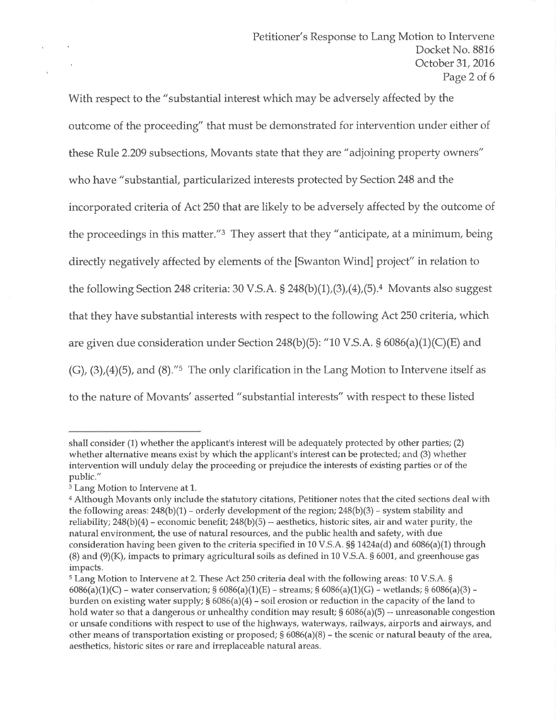With respect to the "substantial interest which may be adversely affected by the outcome of the proceeding" that must be demonstrated for intervention under either of these Rule 2.209 subsections, Movants state that they are "adjoining property owners" who have "substantial, particularized interests protected by Section 248 and the incorporated criteria of Act 250 that are likely to be adversely affected by the outcome of the proceedings in this matter."<sup>3</sup> They assert that they "anticipate, at a minimum, being directly negatively affected by elements of the [Swanton Wind] project" in relation to the following Section 248 criteria: 30 V.S.A. § 248(b)(1),(3),(4),(5).<sup>4</sup> Movants also suggest that they have substantial interests with respect to the following Act 250 criteria, which are given due consideration under Section 248(b)(5): "10 V.S.A. § 6086(a)(1)(C)(E) and  $(G)$ ,  $(3)$ , $(4)$  $(5)$ , and  $(8)$ ."<sup>5</sup> The only clarification in the Lang Motion to Intervene itself as to the nature of Movants' asserted "substantial interests" with respect to these listed

shall consider (1) whether the applicant's interest will be adequately protected by other parties; (2) whether alternative means exist by which the applicant's interest can be protected; and (3) whether intervention will unduly delay the proceeding or prejudice the interests of existing parties or of the public."

<sup>&</sup>lt;sup>3</sup> Lang Motion to Intervene at 1.

<sup>&</sup>lt;sup>4</sup> Although Movants only include the statutory citations, Petitioner notes that the cited sections deal with the following areas:  $248(b)(1)$  – orderly development of the region;  $248(b)(3)$  – system stability and reliability;  $248(b)(4)$  - economic benefit;  $248(b)(5)$  -- aesthetics, historic sites, air and water purity, the natural environment, the use of natural resources, and the public health and safety, with due consideration having been given to the criteria specified in 10 V.S.A.  $\S$  1424a(d) and 6086(a)(1) through  $(8)$  and  $(9)(K)$ , impacts to primary agricultural soils as defined in 10 V.S.A.  $\S$  6001, and greenhouse gas impacts.

<sup>5</sup>Lang Motion to Intervene at 2. These Act 250 criteria deal with the following areas: 10 V.S.A. <sup>S</sup> 6086(a)(1)(C) – water conservation; § 6086(a)(1)(E) – streams; § 6086(a)(1)(G) – wetlands; § 6086(a)(3) – burden on existing water supply;  $\S 6086(a)(4)$  – soil erosion or reduction in the capacity of the land to hold water so that a dangerous or unhealthy condition may result;  $\S 6086(a)(5)$  -- unreasonable congestion or unsafe conditions with respect to use of the highways, waterways, railways, airports and airways, and other means of transportation existing or proposed;  $\S 6086(a)(8)$  – the scenic or natural beauty of the area, aesthetics, historic sites or rare and irreplaceable natural areas.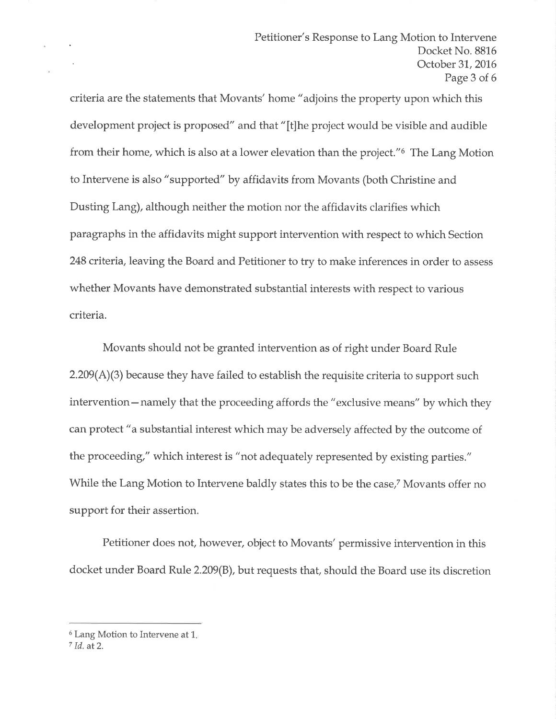criteria are the statements that Movants' home "adjoins the property upon which this development project is proposed" and that "[t]he project would be visible and audible from their home, which is also at a lower elevation than the project."6 The Lang Motion to Intervene is also "supported" by affidavits from Movants (both Christine and Dusting Lang), although neither the motion nor the affidavits clarifies which paragraphs in the affidavits might support intervention with respect to which Section 248 criteria, leaving the Board and Petitioner to try to make inferences in order to assess whether Movants have demonstrated substantial interests with respect to various criteria.

Movants should not be granted intervention as of right under Board Rule  $2.209(A)(3)$  because they have failed to establish the requisite criteria to support such intervention—namely that the proceeding affords the "exclusive means" by which they can protect "a substantial interest which may be adversely affected by the outcome of the proceeding," which interest is "not adequately represented by existing parties." While the Lang Motion to Intervene baldly states this to be the case,<sup>7</sup> Movants offer no support for their assertion.

Petitioner does not, however, object to Movants' permissive intervention in this docket under Board Rule 2.209(8), but requests that, should the Board use its discretion

 $\sim$ 

o.

 $6$  Lang Motion to Intervene at  $1$ .

 $7$  Id. at 2.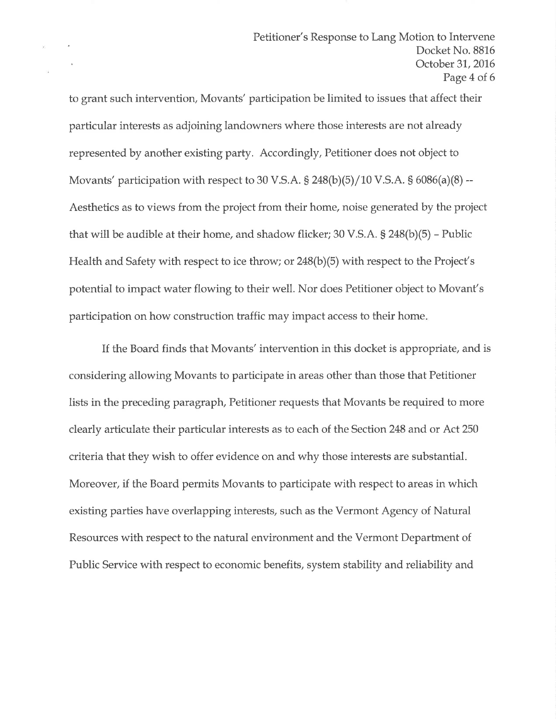to grant such intervention, Movants' participation be limited to issues that affect their particular interests as adjoining landowners where those interests are not already represented by another existing party. Accordingly, Petitioner does not object to Movants' participation with respect to 30 V.S.A.  $\S 248(b)(5)/10$  V.S.A.  $\S 6086(a)(8)$  --Aesthetics as to views from the project from their home, noise generated by the project that will be audible at their home, and shadow flicker;  $30$  V.S.A. § 248(b)(5) - Public Health and Safety with respect to ice throw; or  $248(b)(5)$  with respect to the Project's potential to impact water flowing to their well. Nor does Petitioner object to Movant's participation on how construction traffic may impact access to their home

ü.

If the Board finds that Movants' intervention in this docket is appropriate, and is considering allowing Movants to participate in areas other than those that Petitioner lists in the preceding paragraph, Petitioner requests that Movants be required to more clearly articulate their particular interests as to each of the Section 248 and or Act 250 criteria that they wish to offer evidence on and why those interests are substantial Moreover, if the Board permits Movants to participate with respect to areas in which existing parties have overlapping interests, such as the Vermont Agency of Natural Resources with respect to the natural environment and the Vermont Department of Public Service with respect to economic benefits, system stability and reliability and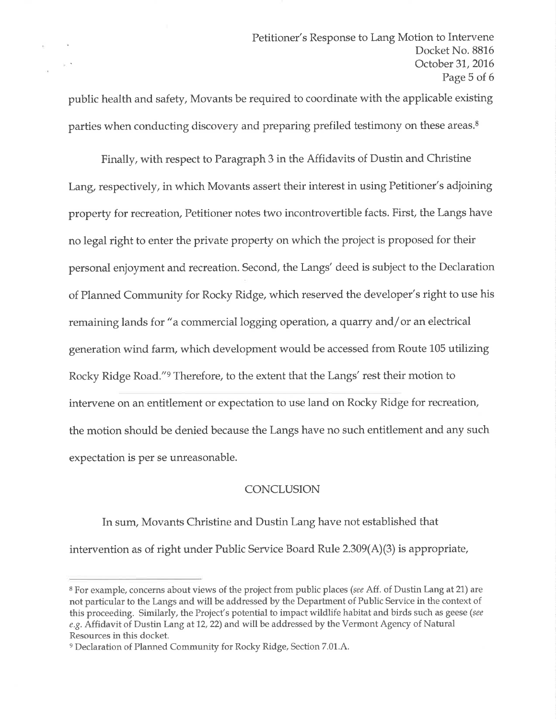public health and safety, Movants be required to coordinate with the applicable existing parties when conducting discovery and preparing prefiled testimony on these areas.8

Finally, with respect to Paragraph 3 in the Affidavits of Dustin and Christine Lang, respectively, in which Movants assert their interest in using Petitioner's adjoining property for recreation, Petitioner notes two incontrovertible facts. First, the Langs have no legal right to enter the private property on which the project is proposed for their personal enjoyment and recreation. Second, the Langs' deed is subject to the Declaration of Planned Community for Rocky Ridge, which reserved the developer's right to use his remaining lands for "a commercial logging operation, a quarry and/or an electrical generation wind farm, which development would be accessed from Route 105 utilizing Rocky Ridge Road."<sup>9</sup> Therefore, to the extent that the Langs' rest their motion to intervene on an entitlement or expectation to use land on Rocky Ridge for recreation, the motion should be denied because the Langs have no such entitlement and any such expectation is per se unreasonable.

# **CONCLUSION**

In sum, Movants Christine and Dustin Lang have not established that intervention as of right under Public Service Board Rule  $2.309(A)(3)$  is appropriate,

<sup>&</sup>lt;sup>8</sup> For example, concerns about views of the project from public places (see Aff. of Dustin Lang at 21) are not particular to the Langs and will be addressed by the Department of Public Service in the context of this proceeding. Similarly, the Project's potential to impact wildlife habitat and birds such as geese (see e.g. Affidavit of Dustin Lang at 12, 22) and will be addressed by the Vermont Agency of Natural Resources in this docket.

<sup>&</sup>lt;sup>9</sup> Declaration of Planned Community for Rocky Ridge, Section 7.01.A.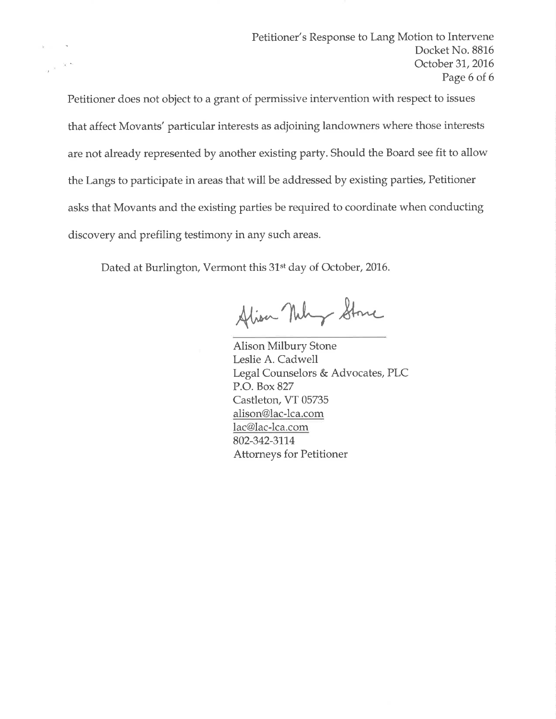Petitioner does not object to a grant of permissive intervention with respect to issues that affect Movants' particular interests as adjoining landowners where those interests are not already represented by another existing party. Should the Board see fit to allow the Langs to participate in areas that will be addressed by existing parties, Petitioner asks that Movants and the existing parties be required to coordinate when conducting discovery and prefiling testimony in any such areas.

Dated at Burlington, Vermont this 31<sup>st</sup> day of October, 2016.

 $\alpha \propto \frac{1}{\pi}$ 

Alisa Nulig Stone

Alison Milbury Stone Leslie A. Cadwell Legal Counselors & Advocates, PLC P.O.Box827 Castleton, VT 05735 alison@lac-lca.com lac@1ac-lca.com 802-342-3114 Attorneys for Petitioner